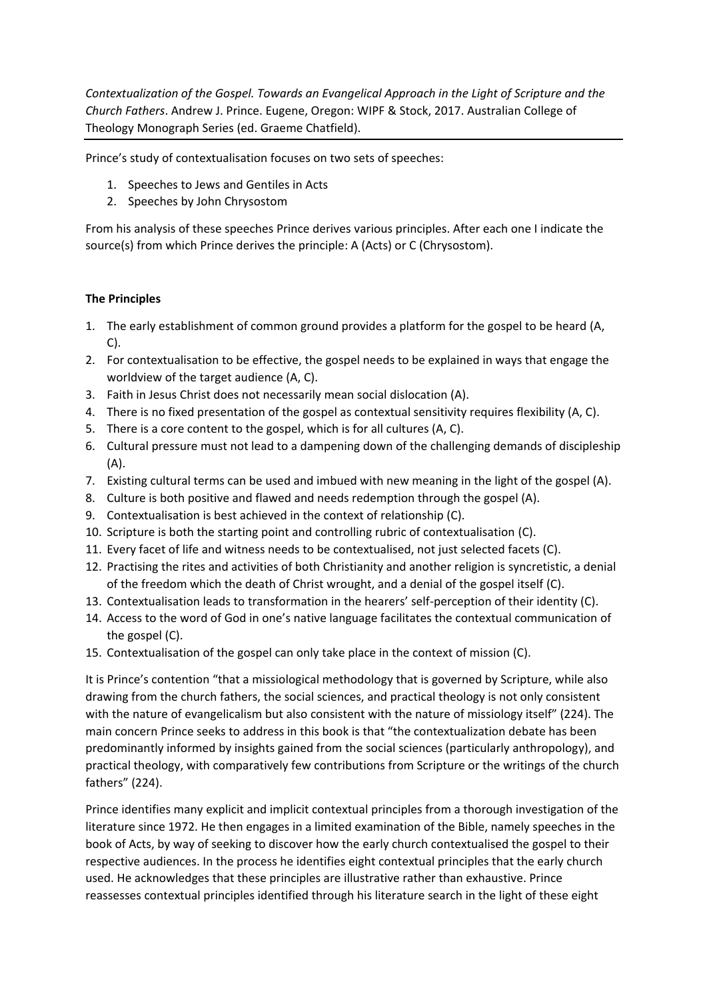*Contextualization of the Gospel. Towards an Evangelical Approach in the Light of Scripture and the Church Fathers*. Andrew J. Prince. Eugene, Oregon: WIPF & Stock, 2017. Australian College of Theology Monograph Series (ed. Graeme Chatfield).

Prince's study of contextualisation focuses on two sets of speeches:

- 1. Speeches to Jews and Gentiles in Acts
- 2. Speeches by John Chrysostom

From his analysis of these speeches Prince derives various principles. After each one I indicate the source(s) from which Prince derives the principle: A (Acts) or C (Chrysostom).

## **The Principles**

- 1. The early establishment of common ground provides a platform for the gospel to be heard (A, C).
- 2. For contextualisation to be effective, the gospel needs to be explained in ways that engage the worldview of the target audience (A, C).
- 3. Faith in Jesus Christ does not necessarily mean social dislocation (A).
- 4. There is no fixed presentation of the gospel as contextual sensitivity requires flexibility (A, C).
- 5. There is a core content to the gospel, which is for all cultures (A, C).
- 6. Cultural pressure must not lead to a dampening down of the challenging demands of discipleship (A).
- 7. Existing cultural terms can be used and imbued with new meaning in the light of the gospel (A).
- 8. Culture is both positive and flawed and needs redemption through the gospel (A).
- 9. Contextualisation is best achieved in the context of relationship (C).
- 10. Scripture is both the starting point and controlling rubric of contextualisation (C).
- 11. Every facet of life and witness needs to be contextualised, not just selected facets (C).
- 12. Practising the rites and activities of both Christianity and another religion is syncretistic, a denial of the freedom which the death of Christ wrought, and a denial of the gospel itself (C).
- 13. Contextualisation leads to transformation in the hearers' self-perception of their identity (C).
- 14. Access to the word of God in one's native language facilitates the contextual communication of the gospel (C).
- 15. Contextualisation of the gospel can only take place in the context of mission (C).

It is Prince's contention "that a missiological methodology that is governed by Scripture, while also drawing from the church fathers, the social sciences, and practical theology is not only consistent with the nature of evangelicalism but also consistent with the nature of missiology itself" (224). The main concern Prince seeks to address in this book is that "the contextualization debate has been predominantly informed by insights gained from the social sciences (particularly anthropology), and practical theology, with comparatively few contributions from Scripture or the writings of the church fathers" (224).

Prince identifies many explicit and implicit contextual principles from a thorough investigation of the literature since 1972. He then engages in a limited examination of the Bible, namely speeches in the book of Acts, by way of seeking to discover how the early church contextualised the gospel to their respective audiences. In the process he identifies eight contextual principles that the early church used. He acknowledges that these principles are illustrative rather than exhaustive. Prince reassesses contextual principles identified through his literature search in the light of these eight